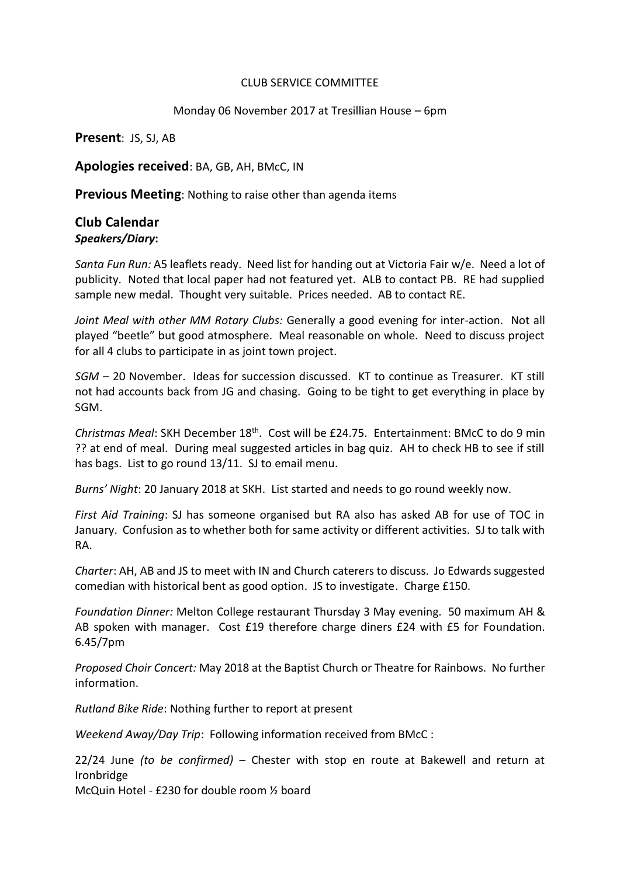## CLUB SERVICE COMMITTEE

## Monday 06 November 2017 at Tresillian House – 6pm

**Present**: JS, SJ, AB

**Apologies received**: BA, GB, AH, BMcC, IN

**Previous Meeting**: Nothing to raise other than agenda items

## **Club Calendar** *Speakers/Diary***:**

*Santa Fun Run:* A5 leaflets ready. Need list for handing out at Victoria Fair w/e. Need a lot of publicity. Noted that local paper had not featured yet. ALB to contact PB. RE had supplied sample new medal. Thought very suitable. Prices needed. AB to contact RE.

*Joint Meal with other MM Rotary Clubs:* Generally a good evening for inter-action. Not all played "beetle" but good atmosphere. Meal reasonable on whole. Need to discuss project for all 4 clubs to participate in as joint town project.

*SGM* – 20 November. Ideas for succession discussed. KT to continue as Treasurer. KT still not had accounts back from JG and chasing. Going to be tight to get everything in place by SGM.

*Christmas Meal*: SKH December 18th. Cost will be £24.75. Entertainment: BMcC to do 9 min ?? at end of meal. During meal suggested articles in bag quiz. AH to check HB to see if still has bags. List to go round 13/11. SJ to email menu.

*Burns' Night*: 20 January 2018 at SKH. List started and needs to go round weekly now.

*First Aid Training*: SJ has someone organised but RA also has asked AB for use of TOC in January. Confusion as to whether both for same activity or different activities. SJ to talk with RA.

*Charter*: AH, AB and JS to meet with IN and Church caterers to discuss. Jo Edwards suggested comedian with historical bent as good option. JS to investigate. Charge £150.

*Foundation Dinner:* Melton College restaurant Thursday 3 May evening. 50 maximum AH & AB spoken with manager. Cost £19 therefore charge diners £24 with £5 for Foundation. 6.45/7pm

*Proposed Choir Concert:* May 2018 at the Baptist Church or Theatre for Rainbows. No further information.

*Rutland Bike Ride*: Nothing further to report at present

*Weekend Away/Day Trip*: Following information received from BMcC :

22/24 June *(to be confirmed)* – Chester with stop en route at Bakewell and return at Ironbridge

McQuin Hotel - £230 for double room ½ board